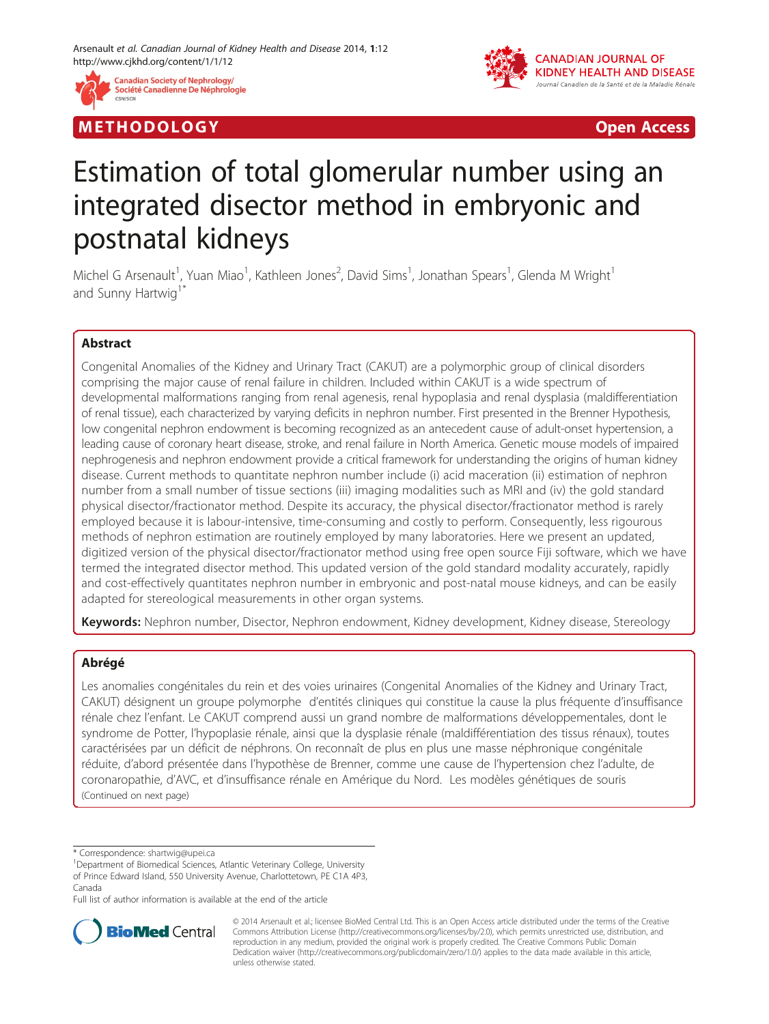

M E THODO L OGY Open Access



# Estimation of total glomerular number using an integrated disector method in embryonic and postnatal kidneys

Michel G Arsenault<sup>1</sup>, Yuan Miao<sup>1</sup>, Kathleen Jones<sup>2</sup>, David Sims<sup>1</sup>, Jonathan Spears<sup>1</sup>, Glenda M Wright<sup>1</sup> and Sunny Hartwig<sup>1</sup>

# Abstract

Congenital Anomalies of the Kidney and Urinary Tract (CAKUT) are a polymorphic group of clinical disorders comprising the major cause of renal failure in children. Included within CAKUT is a wide spectrum of developmental malformations ranging from renal agenesis, renal hypoplasia and renal dysplasia (maldifferentiation of renal tissue), each characterized by varying deficits in nephron number. First presented in the Brenner Hypothesis, low congenital nephron endowment is becoming recognized as an antecedent cause of adult-onset hypertension, a leading cause of coronary heart disease, stroke, and renal failure in North America. Genetic mouse models of impaired nephrogenesis and nephron endowment provide a critical framework for understanding the origins of human kidney disease. Current methods to quantitate nephron number include (i) acid maceration (ii) estimation of nephron number from a small number of tissue sections (iii) imaging modalities such as MRI and (iv) the gold standard physical disector/fractionator method. Despite its accuracy, the physical disector/fractionator method is rarely employed because it is labour-intensive, time-consuming and costly to perform. Consequently, less rigourous methods of nephron estimation are routinely employed by many laboratories. Here we present an updated, digitized version of the physical disector/fractionator method using free open source Fiji software, which we have termed the integrated disector method. This updated version of the gold standard modality accurately, rapidly and cost-effectively quantitates nephron number in embryonic and post-natal mouse kidneys, and can be easily adapted for stereological measurements in other organ systems.

Keywords: Nephron number, Disector, Nephron endowment, Kidney development, Kidney disease, Stereology

# Abrégé

Les anomalies congénitales du rein et des voies urinaires (Congenital Anomalies of the Kidney and Urinary Tract, CAKUT) désignent un groupe polymorphe d'entités cliniques qui constitue la cause la plus fréquente d'insuffisance rénale chez l'enfant. Le CAKUT comprend aussi un grand nombre de malformations développementales, dont le syndrome de Potter, l'hypoplasie rénale, ainsi que la dysplasie rénale (maldifférentiation des tissus rénaux), toutes caractérisées par un déficit de néphrons. On reconnaît de plus en plus une masse néphronique congénitale réduite, d'abord présentée dans l'hypothèse de Brenner, comme une cause de l'hypertension chez l'adulte, de coronaropathie, d'AVC, et d'insuffisance rénale en Amérique du Nord. Les modèles génétiques de souris (Continued on next page)

\* Correspondence: [shartwig@upei.ca](mailto:shartwig@upei.ca) <sup>1</sup>

Department of Biomedical Sciences, Atlantic Veterinary College, University of Prince Edward Island, 550 University Avenue, Charlottetown, PE C1A 4P3, Canada

Full list of author information is available at the end of the article



© 2014 Arsenault et al.; licensee BioMed Central Ltd. This is an Open Access article distributed under the terms of the Creative Commons Attribution License [\(http://creativecommons.org/licenses/by/2.0\)](http://creativecommons.org/licenses/by/2.0), which permits unrestricted use, distribution, and reproduction in any medium, provided the original work is properly credited. The Creative Commons Public Domain Dedication waiver [\(http://creativecommons.org/publicdomain/zero/1.0/](http://creativecommons.org/publicdomain/zero/1.0/)) applies to the data made available in this article, unless otherwise stated.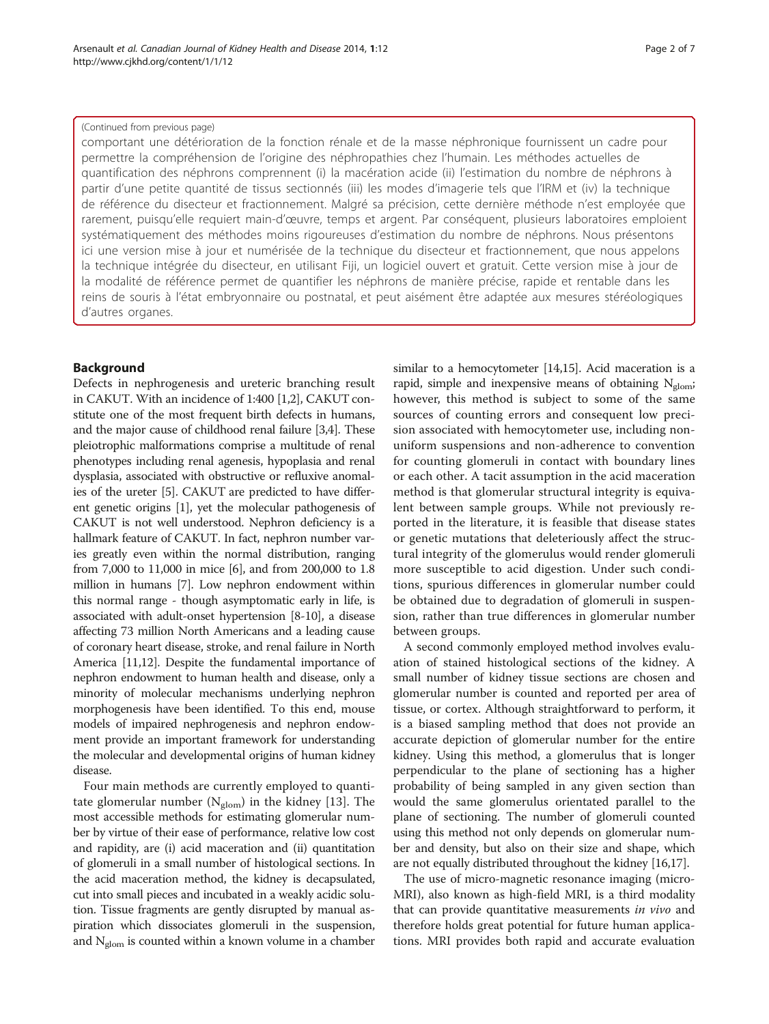comportant une détérioration de la fonction rénale et de la masse néphronique fournissent un cadre pour permettre la compréhension de l'origine des néphropathies chez l'humain. Les méthodes actuelles de quantification des néphrons comprennent (i) la macération acide (ii) l'estimation du nombre de néphrons à partir d'une petite quantité de tissus sectionnés (iii) les modes d'imagerie tels que l'IRM et (iv) la technique de référence du disecteur et fractionnement. Malgré sa précision, cette dernière méthode n'est employée que rarement, puisqu'elle requiert main-d'œuvre, temps et argent. Par conséquent, plusieurs laboratoires emploient systématiquement des méthodes moins rigoureuses d'estimation du nombre de néphrons. Nous présentons ici une version mise à jour et numérisée de la technique du disecteur et fractionnement, que nous appelons la technique intégrée du disecteur, en utilisant Fiji, un logiciel ouvert et gratuit. Cette version mise à jour de la modalité de référence permet de quantifier les néphrons de manière précise, rapide et rentable dans les reins de souris à l'état embryonnaire ou postnatal, et peut aisément être adaptée aux mesures stéréologiques d'autres organes.

# Background

Defects in nephrogenesis and ureteric branching result in CAKUT. With an incidence of 1:400 [[1,2](#page-5-0)], CAKUT constitute one of the most frequent birth defects in humans, and the major cause of childhood renal failure [\[3,4\]](#page-5-0). These pleiotrophic malformations comprise a multitude of renal phenotypes including renal agenesis, hypoplasia and renal dysplasia, associated with obstructive or refluxive anomalies of the ureter [\[5\]](#page-5-0). CAKUT are predicted to have different genetic origins [\[1\]](#page-5-0), yet the molecular pathogenesis of CAKUT is not well understood. Nephron deficiency is a hallmark feature of CAKUT. In fact, nephron number varies greatly even within the normal distribution, ranging from 7,000 to 11,000 in mice [\[6](#page-5-0)], and from 200,000 to 1.8 million in humans [\[7](#page-5-0)]. Low nephron endowment within this normal range - though asymptomatic early in life, is associated with adult-onset hypertension [\[8-10\]](#page-5-0), a disease affecting 73 million North Americans and a leading cause of coronary heart disease, stroke, and renal failure in North America [[11,12\]](#page-5-0). Despite the fundamental importance of nephron endowment to human health and disease, only a minority of molecular mechanisms underlying nephron morphogenesis have been identified. To this end, mouse models of impaired nephrogenesis and nephron endowment provide an important framework for understanding the molecular and developmental origins of human kidney disease.

Four main methods are currently employed to quantitate glomerular number ( $N_{\text{glom}}$ ) in the kidney [\[13](#page-5-0)]. The most accessible methods for estimating glomerular number by virtue of their ease of performance, relative low cost and rapidity, are (i) acid maceration and (ii) quantitation of glomeruli in a small number of histological sections. In the acid maceration method, the kidney is decapsulated, cut into small pieces and incubated in a weakly acidic solution. Tissue fragments are gently disrupted by manual aspiration which dissociates glomeruli in the suspension, and  $N_{\text{glom}}$  is counted within a known volume in a chamber

similar to a hemocytometer [\[14,15](#page-5-0)]. Acid maceration is a rapid, simple and inexpensive means of obtaining  $N_{\text{glom}}$ ; however, this method is subject to some of the same sources of counting errors and consequent low precision associated with hemocytometer use, including nonuniform suspensions and non-adherence to convention for counting glomeruli in contact with boundary lines or each other. A tacit assumption in the acid maceration method is that glomerular structural integrity is equivalent between sample groups. While not previously reported in the literature, it is feasible that disease states or genetic mutations that deleteriously affect the structural integrity of the glomerulus would render glomeruli more susceptible to acid digestion. Under such conditions, spurious differences in glomerular number could be obtained due to degradation of glomeruli in suspension, rather than true differences in glomerular number between groups.

A second commonly employed method involves evaluation of stained histological sections of the kidney. A small number of kidney tissue sections are chosen and glomerular number is counted and reported per area of tissue, or cortex. Although straightforward to perform, it is a biased sampling method that does not provide an accurate depiction of glomerular number for the entire kidney. Using this method, a glomerulus that is longer perpendicular to the plane of sectioning has a higher probability of being sampled in any given section than would the same glomerulus orientated parallel to the plane of sectioning. The number of glomeruli counted using this method not only depends on glomerular number and density, but also on their size and shape, which are not equally distributed throughout the kidney [[16,17](#page-5-0)].

The use of micro-magnetic resonance imaging (micro-MRI), also known as high-field MRI, is a third modality that can provide quantitative measurements in vivo and therefore holds great potential for future human applications. MRI provides both rapid and accurate evaluation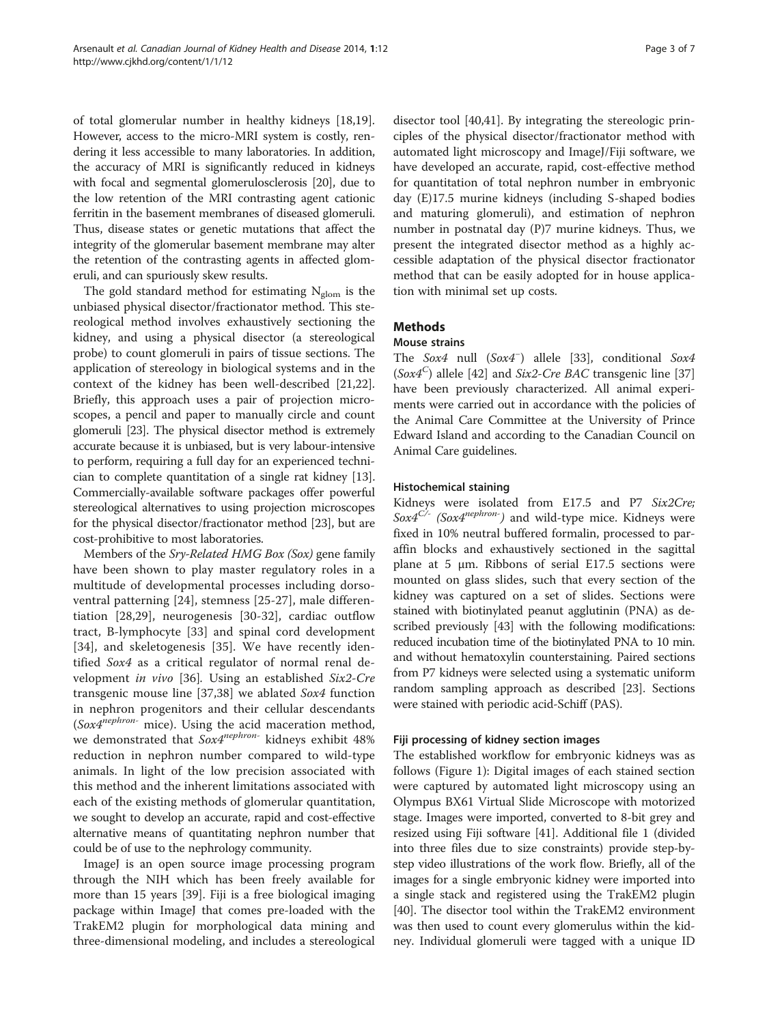of total glomerular number in healthy kidneys [\[18,19](#page-5-0)]. However, access to the micro-MRI system is costly, rendering it less accessible to many laboratories. In addition, the accuracy of MRI is significantly reduced in kidneys with focal and segmental glomerulosclerosis [\[20\]](#page-5-0), due to the low retention of the MRI contrasting agent cationic ferritin in the basement membranes of diseased glomeruli. Thus, disease states or genetic mutations that affect the integrity of the glomerular basement membrane may alter the retention of the contrasting agents in affected glomeruli, and can spuriously skew results.

The gold standard method for estimating  $N_{\text{glom}}$  is the unbiased physical disector/fractionator method. This stereological method involves exhaustively sectioning the kidney, and using a physical disector (a stereological probe) to count glomeruli in pairs of tissue sections. The application of stereology in biological systems and in the context of the kidney has been well-described [\[21,22](#page-5-0)]. Briefly, this approach uses a pair of projection microscopes, a pencil and paper to manually circle and count glomeruli [\[23](#page-5-0)]. The physical disector method is extremely accurate because it is unbiased, but is very labour-intensive to perform, requiring a full day for an experienced technician to complete quantitation of a single rat kidney [[13](#page-5-0)]. Commercially-available software packages offer powerful stereological alternatives to using projection microscopes for the physical disector/fractionator method [\[23\]](#page-5-0), but are cost-prohibitive to most laboratories.

Members of the Sry-Related HMG Box (Sox) gene family have been shown to play master regulatory roles in a multitude of developmental processes including dorsoventral patterning [[24\]](#page-5-0), stemness [[25-27\]](#page-5-0), male differentiation [[28,29\]](#page-5-0), neurogenesis [[30-32\]](#page-5-0), cardiac outflow tract, B-lymphocyte [[33\]](#page-5-0) and spinal cord development [[34\]](#page-5-0), and skeletogenesis [\[35](#page-5-0)]. We have recently identified Sox4 as a critical regulator of normal renal development in vivo [[36](#page-5-0)]. Using an established Six2-Cre transgenic mouse line [[37,38\]](#page-5-0) we ablated Sox4 function in nephron progenitors and their cellular descendants ( $Sox4^{nephron}$  mice). Using the acid maceration method, we demonstrated that Sox4<sup>nephron-</sup> kidneys exhibit 48% reduction in nephron number compared to wild-type animals. In light of the low precision associated with this method and the inherent limitations associated with each of the existing methods of glomerular quantitation, we sought to develop an accurate, rapid and cost-effective alternative means of quantitating nephron number that could be of use to the nephrology community.

ImageJ is an open source image processing program through the NIH which has been freely available for more than 15 years [\[39\]](#page-5-0). Fiji is a free biological imaging package within ImageJ that comes pre-loaded with the TrakEM2 plugin for morphological data mining and three-dimensional modeling, and includes a stereological disector tool [[40,41\]](#page-5-0). By integrating the stereologic principles of the physical disector/fractionator method with automated light microscopy and ImageJ/Fiji software, we have developed an accurate, rapid, cost-effective method for quantitation of total nephron number in embryonic day (E)17.5 murine kidneys (including S-shaped bodies and maturing glomeruli), and estimation of nephron number in postnatal day (P)7 murine kidneys. Thus, we present the integrated disector method as a highly accessible adaptation of the physical disector fractionator method that can be easily adopted for in house application with minimal set up costs.

# Methods

# Mouse strains

The Sox4 null (Sox4<sup>−</sup> ) allele [[33](#page-5-0)], conditional Sox4  $(Sox4<sup>C</sup>)$  allele [\[42](#page-5-0)] and *Six2-Cre BAC* transgenic line [[37](#page-5-0)] have been previously characterized. All animal experiments were carried out in accordance with the policies of the Animal Care Committee at the University of Prince Edward Island and according to the Canadian Council on Animal Care guidelines.

## Histochemical staining

Kidneys were isolated from E17.5 and P7 Six2Cre;  $Sox4^{C/-}$  (Sox4<sup>nephron-</sup>) and wild-type mice. Kidneys were fixed in 10% neutral buffered formalin, processed to paraffin blocks and exhaustively sectioned in the sagittal plane at 5  $\mu$ m. Ribbons of serial E17.5 sections were mounted on glass slides, such that every section of the kidney was captured on a set of slides. Sections were stained with biotinylated peanut agglutinin (PNA) as described previously [[43](#page-6-0)] with the following modifications: reduced incubation time of the biotinylated PNA to 10 min. and without hematoxylin counterstaining. Paired sections from P7 kidneys were selected using a systematic uniform random sampling approach as described [\[23\]](#page-5-0). Sections were stained with periodic acid-Schiff (PAS).

## Fiji processing of kidney section images

The established workflow for embryonic kidneys was as follows (Figure [1\)](#page-3-0): Digital images of each stained section were captured by automated light microscopy using an Olympus BX61 Virtual Slide Microscope with motorized stage. Images were imported, converted to 8-bit grey and resized using Fiji software [[41](#page-5-0)]. Additional file [1](#page-4-0) (divided into three files due to size constraints) provide step-bystep video illustrations of the work flow. Briefly, all of the images for a single embryonic kidney were imported into a single stack and registered using the TrakEM2 plugin [[40](#page-5-0)]. The disector tool within the TrakEM2 environment was then used to count every glomerulus within the kidney. Individual glomeruli were tagged with a unique ID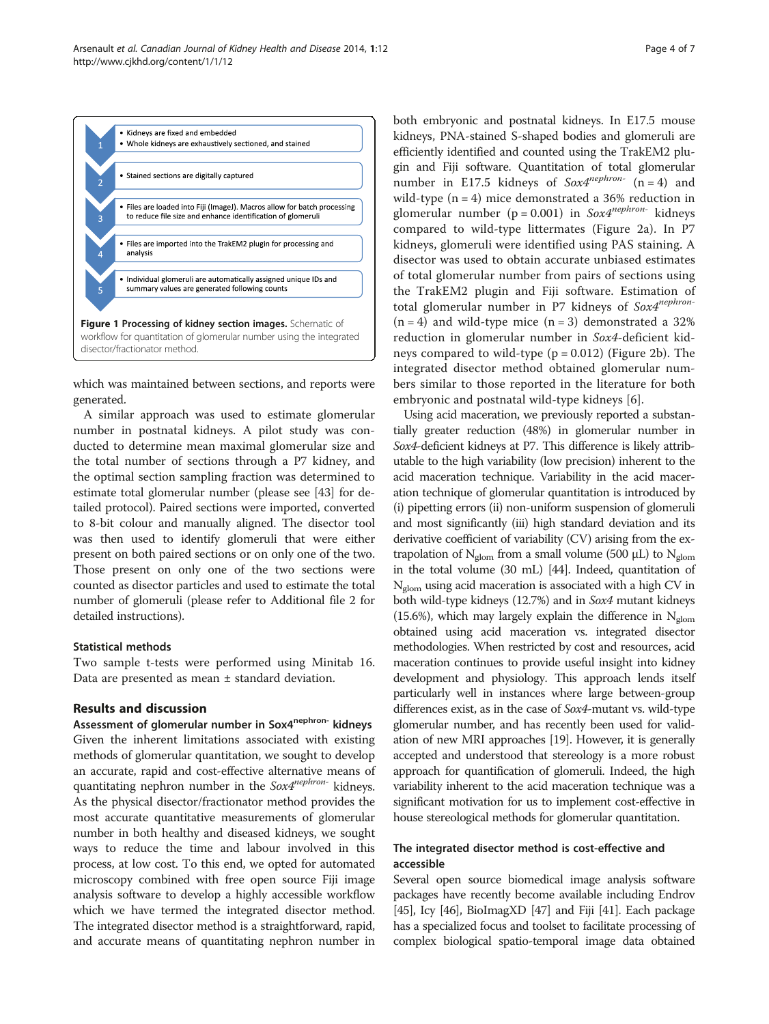<span id="page-3-0"></span>

which was maintained between sections, and reports were generated.

A similar approach was used to estimate glomerular number in postnatal kidneys. A pilot study was conducted to determine mean maximal glomerular size and the total number of sections through a P7 kidney, and the optimal section sampling fraction was determined to estimate total glomerular number (please see [[43](#page-6-0)] for detailed protocol). Paired sections were imported, converted to 8-bit colour and manually aligned. The disector tool was then used to identify glomeruli that were either present on both paired sections or on only one of the two. Those present on only one of the two sections were counted as disector particles and used to estimate the total number of glomeruli (please refer to Additional file [2](#page-4-0) for detailed instructions).

## Statistical methods

Two sample t-tests were performed using Minitab 16. Data are presented as mean  $\pm$  standard deviation.

## Results and discussion

Assessment of glomerular number in Sox4<sup>nephron-</sup> kidneys Given the inherent limitations associated with existing methods of glomerular quantitation, we sought to develop an accurate, rapid and cost-effective alternative means of quantitating nephron number in the  $Sox4^{nephron-}$  kidneys. As the physical disector/fractionator method provides the most accurate quantitative measurements of glomerular number in both healthy and diseased kidneys, we sought ways to reduce the time and labour involved in this process, at low cost. To this end, we opted for automated microscopy combined with free open source Fiji image analysis software to develop a highly accessible workflow which we have termed the integrated disector method. The integrated disector method is a straightforward, rapid, and accurate means of quantitating nephron number in both embryonic and postnatal kidneys. In E17.5 mouse kidneys, PNA-stained S-shaped bodies and glomeruli are efficiently identified and counted using the TrakEM2 plugin and Fiji software. Quantitation of total glomerular number in E17.5 kidneys of  $Sox4^{nephron-}$  (n = 4) and wild-type  $(n = 4)$  mice demonstrated a 36% reduction in glomerular number (p = 0.001) in  $Sox4^{nephron}$  kidneys compared to wild-type littermates (Figure [2a](#page-4-0)). In P7 kidneys, glomeruli were identified using PAS staining. A disector was used to obtain accurate unbiased estimates of total glomerular number from pairs of sections using the TrakEM2 plugin and Fiji software. Estimation of total glomerular number in P7 kidneys of  $Sox4^{nephron-}$  $(n = 4)$  and wild-type mice  $(n = 3)$  demonstrated a 32% reduction in glomerular number in Sox4-deficient kidneys compared to wild-type  $(p = 0.012)$  (Figure [2](#page-4-0)b). The integrated disector method obtained glomerular numbers similar to those reported in the literature for both embryonic and postnatal wild-type kidneys [[6\]](#page-5-0).

Using acid maceration, we previously reported a substantially greater reduction (48%) in glomerular number in Sox4-deficient kidneys at P7. This difference is likely attributable to the high variability (low precision) inherent to the acid maceration technique. Variability in the acid maceration technique of glomerular quantitation is introduced by (i) pipetting errors (ii) non-uniform suspension of glomeruli and most significantly (iii) high standard deviation and its derivative coefficient of variability (CV) arising from the extrapolation of  $N_{\text{glom}}$  from a small volume (500 μL) to  $N_{\text{glom}}$ in the total volume (30 mL) [[44](#page-6-0)]. Indeed, quantitation of  $N_{\text{atom}}$  using acid maceration is associated with a high CV in both wild-type kidneys (12.7%) and in Sox4 mutant kidneys (15.6%), which may largely explain the difference in  $N_{\text{glom}}$ obtained using acid maceration vs. integrated disector methodologies. When restricted by cost and resources, acid maceration continues to provide useful insight into kidney development and physiology. This approach lends itself particularly well in instances where large between-group differences exist, as in the case of Sox4-mutant vs. wild-type glomerular number, and has recently been used for validation of new MRI approaches [[19](#page-5-0)]. However, it is generally accepted and understood that stereology is a more robust approach for quantification of glomeruli. Indeed, the high variability inherent to the acid maceration technique was a significant motivation for us to implement cost-effective in house stereological methods for glomerular quantitation.

# The integrated disector method is cost-effective and accessible

Several open source biomedical image analysis software packages have recently become available including Endrov [[45](#page-6-0)], Icy [[46](#page-6-0)], BioImagXD [\[47\]](#page-6-0) and Fiji [\[41](#page-5-0)]. Each package has a specialized focus and toolset to facilitate processing of complex biological spatio-temporal image data obtained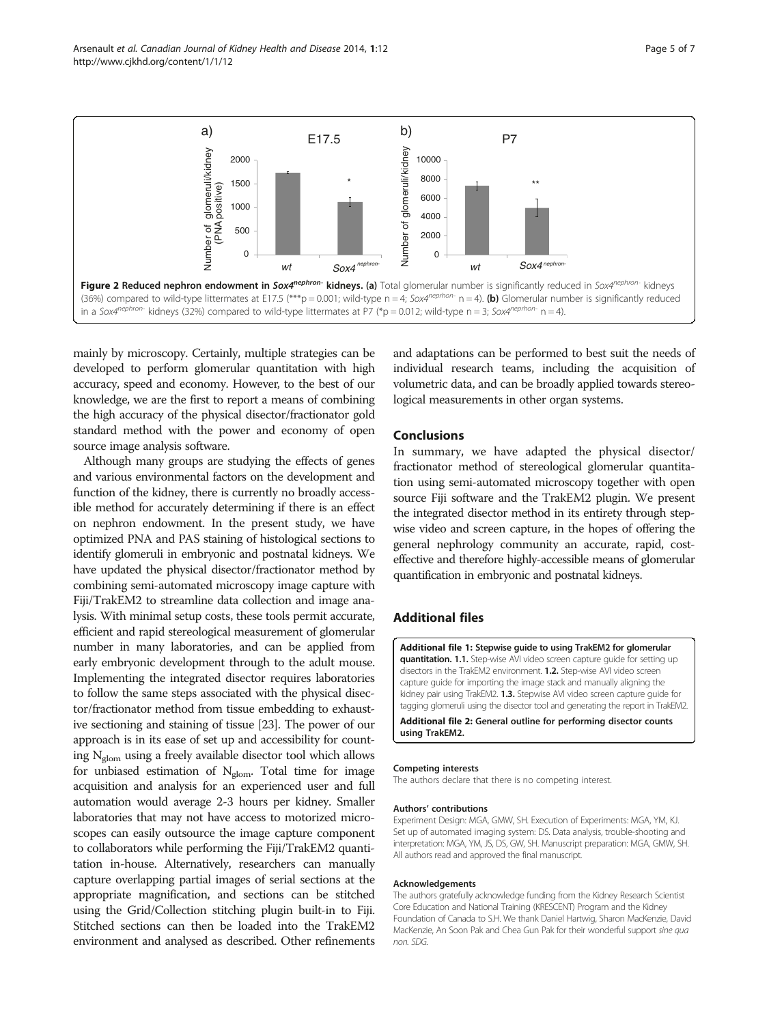<span id="page-4-0"></span>Arsenault et al. Canadian Journal of Kidney Health and Disease 2014, 1:12 Page 5 of 7 http://www.cjkhd.org/content/1/1/12



mainly by microscopy. Certainly, multiple strategies can be developed to perform glomerular quantitation with high accuracy, speed and economy. However, to the best of our knowledge, we are the first to report a means of combining the high accuracy of the physical disector/fractionator gold standard method with the power and economy of open source image analysis software.

Although many groups are studying the effects of genes and various environmental factors on the development and function of the kidney, there is currently no broadly accessible method for accurately determining if there is an effect on nephron endowment. In the present study, we have optimized PNA and PAS staining of histological sections to identify glomeruli in embryonic and postnatal kidneys. We have updated the physical disector/fractionator method by combining semi-automated microscopy image capture with Fiji/TrakEM2 to streamline data collection and image analysis. With minimal setup costs, these tools permit accurate, efficient and rapid stereological measurement of glomerular number in many laboratories, and can be applied from early embryonic development through to the adult mouse. Implementing the integrated disector requires laboratories to follow the same steps associated with the physical disector/fractionator method from tissue embedding to exhaustive sectioning and staining of tissue [[23](#page-5-0)]. The power of our approach is in its ease of set up and accessibility for counting  $N_{\text{glom}}$  using a freely available disector tool which allows for unbiased estimation of  $N_{\text{glom}}$ . Total time for image acquisition and analysis for an experienced user and full automation would average 2-3 hours per kidney. Smaller laboratories that may not have access to motorized microscopes can easily outsource the image capture component to collaborators while performing the Fiji/TrakEM2 quantitation in-house. Alternatively, researchers can manually capture overlapping partial images of serial sections at the appropriate magnification, and sections can be stitched using the Grid/Collection stitching plugin built-in to Fiji. Stitched sections can then be loaded into the TrakEM2 environment and analysed as described. Other refinements

and adaptations can be performed to best suit the needs of individual research teams, including the acquisition of volumetric data, and can be broadly applied towards stereological measurements in other organ systems.

## Conclusions

In summary, we have adapted the physical disector/ fractionator method of stereological glomerular quantitation using semi-automated microscopy together with open source Fiji software and the TrakEM2 plugin. We present the integrated disector method in its entirety through stepwise video and screen capture, in the hopes of offering the general nephrology community an accurate, rapid, costeffective and therefore highly-accessible means of glomerular quantification in embryonic and postnatal kidneys.

# Additional files

[Additional file 1:](http://www.biomedcentral.com/content/supplementary/2054-3581-1-12-S1.zip) Stepwise guide to using TrakEM2 for glomerular quantitation. 1.1. Step-wise AVI video screen capture guide for setting up disectors in the TrakEM2 environment. 1.2. Step-wise AVI video screen capture guide for importing the image stack and manually aligning the kidney pair using TrakEM2. 1.3. Stepwise AVI video screen capture guide for tagging glomeruli using the disector tool and generating the report in TrakEM2.

[Additional file 2:](http://www.biomedcentral.com/content/supplementary/2054-3581-1-12-S2.pdf) General outline for performing disector counts using TrakEM2.

#### Competing interests

The authors declare that there is no competing interest.

#### Authors' contributions

Experiment Design: MGA, GMW, SH. Execution of Experiments: MGA, YM, KJ. Set up of automated imaging system: DS. Data analysis, trouble-shooting and interpretation: MGA, YM, JS, DS, GW, SH. Manuscript preparation: MGA, GMW, SH. All authors read and approved the final manuscript.

## Acknowledgements

The authors gratefully acknowledge funding from the Kidney Research Scientist Core Education and National Training (KRESCENT) Program and the Kidney Foundation of Canada to S.H. We thank Daniel Hartwig, Sharon MacKenzie, David MacKenzie, An Soon Pak and Chea Gun Pak for their wonderful support sine qua non. SDG.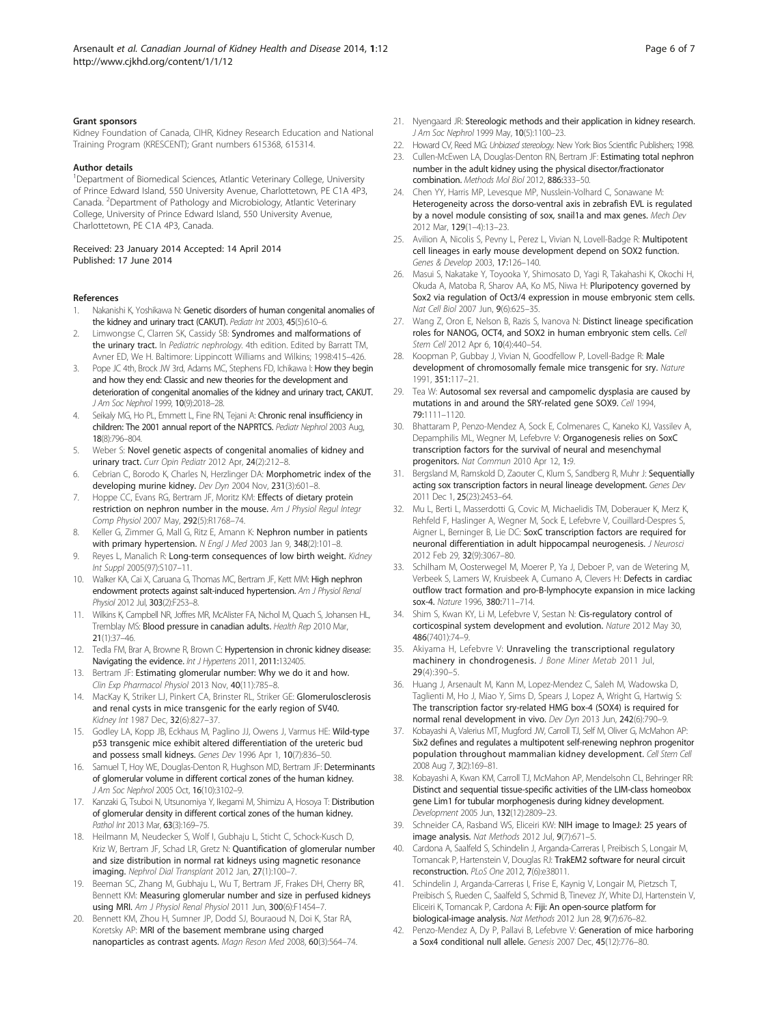#### <span id="page-5-0"></span>Grant sponsors

Kidney Foundation of Canada, CIHR, Kidney Research Education and National Training Program (KRESCENT); Grant numbers 615368, 615314.

#### Author details

<sup>1</sup>Department of Biomedical Sciences, Atlantic Veterinary College, University of Prince Edward Island, 550 University Avenue, Charlottetown, PE C1A 4P3, Canada. <sup>2</sup>Department of Pathology and Microbiology, Atlantic Veterinary College, University of Prince Edward Island, 550 University Avenue, Charlottetown, PE C1A 4P3, Canada.

#### Received: 23 January 2014 Accepted: 14 April 2014 Published: 17 June 2014

#### References

- Nakanishi K, Yoshikawa N: Genetic disorders of human congenital anomalies of the kidney and urinary tract (CAKUT). Pediatr Int 2003, 45(5):610-6.
- Limwongse C, Clarren SK, Cassidy SB: Syndromes and malformations of the urinary tract. In Pediatric nephrology. 4th edition. Edited by Barratt TM, Avner ED, We H. Baltimore: Lippincott Williams and Wilkins; 1998:415–426.
- 3. Pope JC 4th, Brock JW 3rd, Adams MC, Stephens FD, Ichikawa I: How they begin and how they end: Classic and new theories for the development and deterioration of congenital anomalies of the kidney and urinary tract, CAKUT. J Am Soc Nephrol 1999, 10(9):2018–28.
- 4. Seikaly MG, Ho PL, Emmett L, Fine RN, Tejani A: Chronic renal insufficiency in children: The 2001 annual report of the NAPRTCS. Pediatr Nephrol 2003 Aug, 18(8):796–804.
- 5. Weber S: Novel genetic aspects of congenital anomalies of kidney and urinary tract. Curr Opin Pediatr 2012 Apr. 24(2):212-8.
- 6. Cebrian C, Borodo K, Charles N, Herzlinger DA: Morphometric index of the developing murine kidney. Dev Dyn 2004 Nov, 231(3):601–8.
- 7. Hoppe CC, Evans RG, Bertram JF, Moritz KM: Effects of dietary protein restriction on nephron number in the mouse. Am J Physiol Regul Integr Comp Physiol 2007 May, 292(5):R1768–74.
- 8. Keller G, Zimmer G, Mall G, Ritz E, Amann K: Nephron number in patients with primary hypertension. N Engl J Med 2003 Jan 9, 348(2):101-8.
- 9. Reyes L, Manalich R: Long-term consequences of low birth weight. Kidney Int Suppl 2005(97):S107–11.
- 10. Walker KA, Cai X, Caruana G, Thomas MC, Bertram JF, Kett MM: High nephron endowment protects against salt-induced hypertension. Am J Physiol Renal Physiol 2012 Jul, 303(2):F253–8.
- 11. Wilkins K, Campbell NR, Joffres MR, McAlister FA, Nichol M, Quach S, Johansen HL, Tremblay MS: Blood pressure in canadian adults. Health Rep 2010 Mar, 21(1):37–46.
- 12. Tedla FM, Brar A, Browne R, Brown C: Hypertension in chronic kidney disease: Navigating the evidence. Int J Hypertens 2011, 2011:132405.
- 13. Bertram JF: Estimating glomerular number: Why we do it and how. Clin Exp Pharmacol Physiol 2013 Nov, 40(11):785–8.
- 14. MacKay K, Striker LJ, Pinkert CA, Brinster RL, Striker GE: Glomerulosclerosis and renal cysts in mice transgenic for the early region of SV40. Kidney Int 1987 Dec, 32(6):827–37.
- 15. Godley LA, Kopp JB, Eckhaus M, Paglino JJ, Owens J, Varmus HE: Wild-type p53 transgenic mice exhibit altered differentiation of the ureteric bud and possess small kidneys. Genes Dev 1996 Apr 1, 10(7):836–50.
- 16. Samuel T, Hoy WE, Douglas-Denton R, Hughson MD, Bertram JF: Determinants of glomerular volume in different cortical zones of the human kidney. J Am Soc Nephrol 2005 Oct, 16(10):3102–9.
- 17. Kanzaki G, Tsuboi N, Utsunomiya Y, Ikegami M, Shimizu A, Hosoya T: Distribution of glomerular density in different cortical zones of the human kidney. Pathol Int 2013 Mar. 63(3):169-75.
- 18. Heilmann M, Neudecker S, Wolf I, Gubhaju L, Sticht C, Schock-Kusch D, Kriz W, Bertram JF, Schad LR, Gretz N: Quantification of glomerular number and size distribution in normal rat kidneys using magnetic resonance imaging. Nephrol Dial Transplant 2012 Jan, 27(1):100–7.
- 19. Beeman SC, Zhang M, Gubhaju L, Wu T, Bertram JF, Frakes DH, Cherry BR, Bennett KM: Measuring glomerular number and size in perfused kidneys using MRI. Am J Physiol Renal Physiol 2011 Jun, 300(6):F1454-7.
- 20. Bennett KM, Zhou H, Sumner JP, Dodd SJ, Bouraoud N, Doi K, Star RA, Koretsky AP: MRI of the basement membrane using charged nanoparticles as contrast agents. Magn Reson Med 2008, 60(3):564–74.
- 21. Nyengaard JR: Stereologic methods and their application in kidney research. J Am Soc Nephrol 1999 May, 10(5):1100-23.
- 22. Howard CV, Reed MG: Unbiased stereology. New York: Bios Scientific Publishers; 1998.
- 23. Cullen-McEwen LA, Douglas-Denton RN, Bertram JF: Estimating total nephron number in the adult kidney using the physical disector/fractionator combination. Methods Mol Biol 2012, 886:333–50.
- 24. Chen YY, Harris MP, Levesque MP, Nusslein-Volhard C, Sonawane M: Heterogeneity across the dorso-ventral axis in zebrafish EVL is regulated by a novel module consisting of sox, snail1a and max genes. Mech Dev 2012 Mar, 129(1–4):13–23.
- 25. Avilion A, Nicolis S, Pevny L, Perez L, Vivian N, Lovell-Badge R: Multipotent cell lineages in early mouse development depend on SOX2 function. Genes & Develop 2003, 17:126–140.
- 26. Masui S, Nakatake Y, Toyooka Y, Shimosato D, Yagi R, Takahashi K, Okochi H, Okuda A, Matoba R, Sharov AA, Ko MS, Niwa H: Pluripotency governed by Sox2 via regulation of Oct3/4 expression in mouse embryonic stem cells. Nat Cell Biol 2007 Jun, 9(6):625–35.
- 27. Wang Z, Oron E, Nelson B, Razis S, Ivanova N: Distinct lineage specification roles for NANOG, OCT4, and SOX2 in human embryonic stem cells. Cell Stem Cell 2012 Apr 6, 10(4):440–54.
- 28. Koopman P, Gubbay J, Vivian N, Goodfellow P, Lovell-Badge R: Male development of chromosomally female mice transgenic for sry. Nature 1991, 351:117–21.
- 29. Tea W: Autosomal sex reversal and campomelic dysplasia are caused by mutations in and around the SRY-related gene SOX9. Cell 1994, 79:1111–1120.
- 30. Bhattaram P, Penzo-Mendez A, Sock E, Colmenares C, Kaneko KJ, Vassilev A, Depamphilis ML, Wegner M, Lefebvre V: Organogenesis relies on SoxC transcription factors for the survival of neural and mesenchymal progenitors. Nat Commun 2010 Apr 12, 1:9.
- 31. Bergsland M, Ramskold D, Zaouter C, Klum S, Sandberg R, Muhr J: Sequentially acting sox transcription factors in neural lineage development. Genes Dev 2011 Dec 1, 25(23):2453–64.
- 32. Mu L, Berti L, Masserdotti G, Covic M, Michaelidis TM, Doberauer K, Merz K, Rehfeld F, Haslinger A, Wegner M, Sock E, Lefebvre V, Couillard-Despres S, Aigner L, Berninger B, Lie DC: SoxC transcription factors are required for neuronal differentiation in adult hippocampal neurogenesis. J Neurosci 2012 Feb 29, 32(9):3067–80.
- 33. Schilham M, Oosterwegel M, Moerer P, Ya J, Deboer P, van de Wetering M, Verbeek S, Lamers W, Kruisbeek A, Cumano A, Clevers H: Defects in cardiac outflow tract formation and pro-B-lymphocyte expansion in mice lacking sox-4. Nature 1996, 380:711–714.
- Shim S, Kwan KY, Li M, Lefebvre V, Sestan N: Cis-regulatory control of corticospinal system development and evolution. Nature 2012 May 30, 486(7401):74–9.
- 35. Akiyama H, Lefebvre V: Unraveling the transcriptional regulatory machinery in chondrogenesis. J Bone Miner Metab 2011 Jul, 29(4):390–5.
- 36. Huang J, Arsenault M, Kann M, Lopez-Mendez C, Saleh M, Wadowska D, Taglienti M, Ho J, Miao Y, Sims D, Spears J, Lopez A, Wright G, Hartwig S: The transcription factor sry-related HMG box-4 (SOX4) is required for normal renal development in vivo. Dev Dyn 2013 Jun, 242(6):790–9.
- 37. Kobayashi A, Valerius MT, Mugford JW, Carroll TJ, Self M, Oliver G, McMahon AP: Six2 defines and regulates a multipotent self-renewing nephron progenitor population throughout mammalian kidney development. Cell Stem Cell 2008 Aug 7, 3(2):169–81.
- 38. Kobayashi A, Kwan KM, Carroll TJ, McMahon AP, Mendelsohn CL, Behringer RR: Distinct and sequential tissue-specific activities of the LIM-class homeobox gene Lim1 for tubular morphogenesis during kidney development. Development 2005 Jun, 132(12):2809–23.
- 39. Schneider CA, Rasband WS, Eliceiri KW: NIH image to ImageJ: 25 years of image analysis. Nat Methods 2012 Jul, 9(7):671–5.
- 40. Cardona A, Saalfeld S, Schindelin J, Arganda-Carreras I, Preibisch S, Longair M, Tomancak P, Hartenstein V, Douglas RJ: TrakEM2 software for neural circuit reconstruction. PLoS One 2012, 7(6):e38011.
- 41. Schindelin J, Arganda-Carreras I, Frise E, Kaynig V, Longair M, Pietzsch T, Preibisch S, Rueden C, Saalfeld S, Schmid B, Tinevez JY, White DJ, Hartenstein V, Eliceiri K, Tomancak P, Cardona A: Fiji: An open-source platform for biological-image analysis. Nat Methods 2012 Jun 28, 9(7):676–82.
- 42. Penzo-Mendez A, Dy P, Pallavi B, Lefebvre V: Generation of mice harboring a Sox4 conditional null allele. Genesis 2007 Dec, 45(12):776–80.